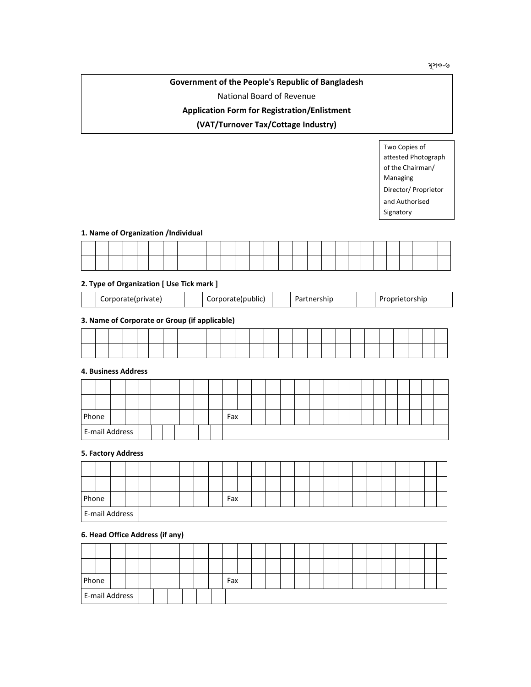মূসক-৬

## **Government of the People's Republic of Bangladesh**

National Board of Revenue

## **Application Form for Registration/Enlistment**

**(VAT/Turnover Tax/Cottage Industry)**

Two Copies of attested Photograph of the Chairman/ Managing Director/ Proprietor and Authorised Signatory

#### **1. Name of Organization /Individual**

## **2. Type of Organization [ Use Tick mark ]**

|  | Corporate(private) |  | Corporate(public) |  | Partnership |  | Proprietorship |
|--|--------------------|--|-------------------|--|-------------|--|----------------|
|--|--------------------|--|-------------------|--|-------------|--|----------------|

## **3. Name of Corporate or Group (if applicable)**

### **4. Business Address**

| Phone |                |  |  |  |  | Fax |  |  |  |  |  |  |  |  |
|-------|----------------|--|--|--|--|-----|--|--|--|--|--|--|--|--|
|       | E-mail Address |  |  |  |  |     |  |  |  |  |  |  |  |  |

### **5. Factory Address**

| Phone          |  |  |  |  | Fax |  |  |  |  |  |  |  |  |
|----------------|--|--|--|--|-----|--|--|--|--|--|--|--|--|
| E-mail Address |  |  |  |  |     |  |  |  |  |  |  |  |  |

## **6. Head Office Address (if any)**

| Phone          |  |  |  |  | Fax |  |  |  |  |  |  |  |  |
|----------------|--|--|--|--|-----|--|--|--|--|--|--|--|--|
| E-mail Address |  |  |  |  |     |  |  |  |  |  |  |  |  |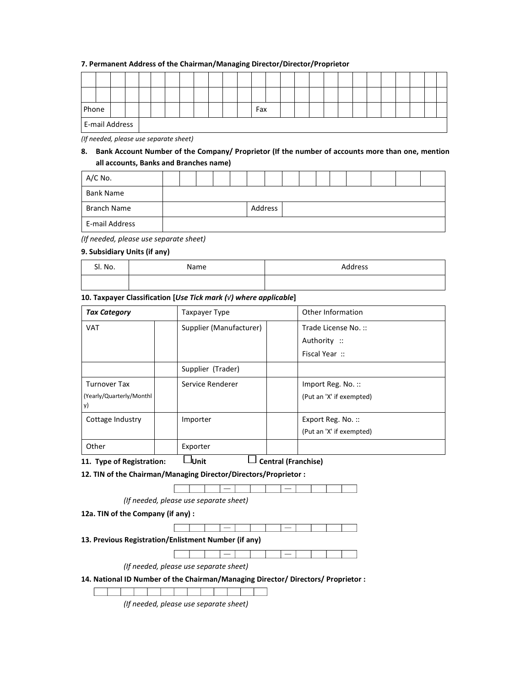#### **7. Permanent Address of the Chairman/Managing Director/Director/Proprietor**

| Phone          |  |  |  |  |  | Fax |  |  |  |  |  |  |  |
|----------------|--|--|--|--|--|-----|--|--|--|--|--|--|--|
| E-mail Address |  |  |  |  |  |     |  |  |  |  |  |  |  |

*(If needed, please use separate sheet)* 

## **8. Bank Account Number of the Company/ Proprietor (If the number of accounts more than one, mention all accounts, Banks and Branches name)**

| $A/C$ No.        |  |  |         |  |  |  |  |  |
|------------------|--|--|---------|--|--|--|--|--|
| <b>Bank Name</b> |  |  |         |  |  |  |  |  |
| Branch Name      |  |  | Address |  |  |  |  |  |
| E-mail Address   |  |  |         |  |  |  |  |  |

*(If needed, please use separate sheet)*

#### **9. Subsidiary Units (if any)**

| SI. No. | Name | Address |
|---------|------|---------|
|         |      |         |

### **10. Taxpayer Classification [***Use Tick mark (√) where applicable***]**

| <b>Tax Category</b>            | Taxpayer Type           | Other Information        |
|--------------------------------|-------------------------|--------------------------|
| <b>VAT</b>                     | Supplier (Manufacturer) | Trade License No.::      |
|                                |                         | Authority ::             |
|                                |                         | Fiscal Year:             |
|                                | Supplier (Trader)       |                          |
| <b>Turnover Tax</b>            | Service Renderer        | Import Reg. No.::        |
| (Yearly/Quarterly/Monthl<br>y) |                         | (Put an 'X' if exempted) |
| Cottage Industry               | Importer                | Export Reg. No.::        |
|                                |                         | (Put an 'X' if exempted) |
| Other                          | Exporter                |                          |

**11. Type of Registration:**  $\Box$  Unit  $\Box$  Central (Franchise)

**12. TIN of the Chairman/Managing Director/Directors/Proprietor :** 



<u> Tanton de la contra de la c</u>  $\blacksquare$ - 1

 *(If needed, please use separate sheet)*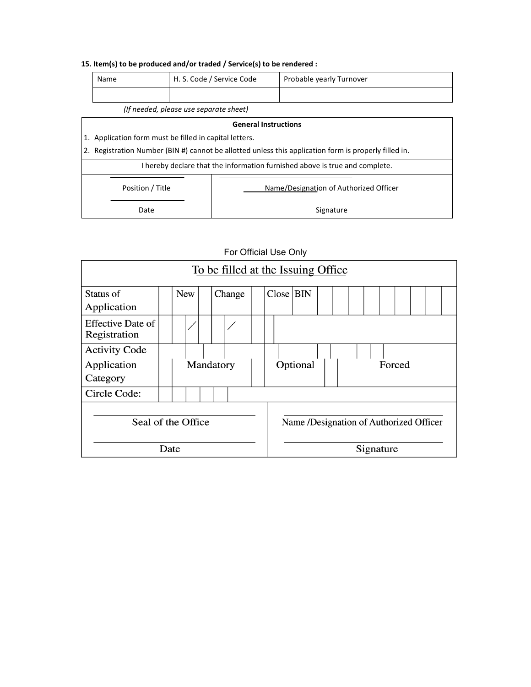# **15. Item(s) to be produced and/or traded / Service(s) to be rendered :**

| Name | H. S. Code / Service Code | Probable yearly Turnover |
|------|---------------------------|--------------------------|
|      |                           |                          |

 *(If needed, please use separate sheet)* 

|                                                                             | <b>General Instructions</b>                                                                           |  |  |  |  |  |  |  |  |  |
|-----------------------------------------------------------------------------|-------------------------------------------------------------------------------------------------------|--|--|--|--|--|--|--|--|--|
| 1. Application form must be filled in capital letters.                      |                                                                                                       |  |  |  |  |  |  |  |  |  |
|                                                                             | 2. Registration Number (BIN #) cannot be allotted unless this application form is properly filled in. |  |  |  |  |  |  |  |  |  |
| I hereby declare that the information furnished above is true and complete. |                                                                                                       |  |  |  |  |  |  |  |  |  |
| Name/Designation of Authorized Officer<br>Position / Title                  |                                                                                                       |  |  |  |  |  |  |  |  |  |
| Date<br>Signature                                                           |                                                                                                       |  |  |  |  |  |  |  |  |  |

# For Official Use Only

| To be filled at the Issuing Office |           |  |        |  |       |          |                                         |  |        |  |  |  |  |  |  |  |  |  |
|------------------------------------|-----------|--|--------|--|-------|----------|-----------------------------------------|--|--------|--|--|--|--|--|--|--|--|--|
| Status of<br>Application           | New       |  | Change |  | Close |          | <b>BIN</b>                              |  |        |  |  |  |  |  |  |  |  |  |
| Effective Date of<br>Registration  |           |  |        |  |       |          |                                         |  |        |  |  |  |  |  |  |  |  |  |
| <b>Activity Code</b>               |           |  |        |  |       |          |                                         |  |        |  |  |  |  |  |  |  |  |  |
| Application<br>Category            | Mandatory |  |        |  |       | Optional |                                         |  | Forced |  |  |  |  |  |  |  |  |  |
| Circle Code:                       |           |  |        |  |       |          |                                         |  |        |  |  |  |  |  |  |  |  |  |
| Seal of the Office                 |           |  |        |  |       |          | Name /Designation of Authorized Officer |  |        |  |  |  |  |  |  |  |  |  |
| Date                               |           |  |        |  |       |          | Signature                               |  |        |  |  |  |  |  |  |  |  |  |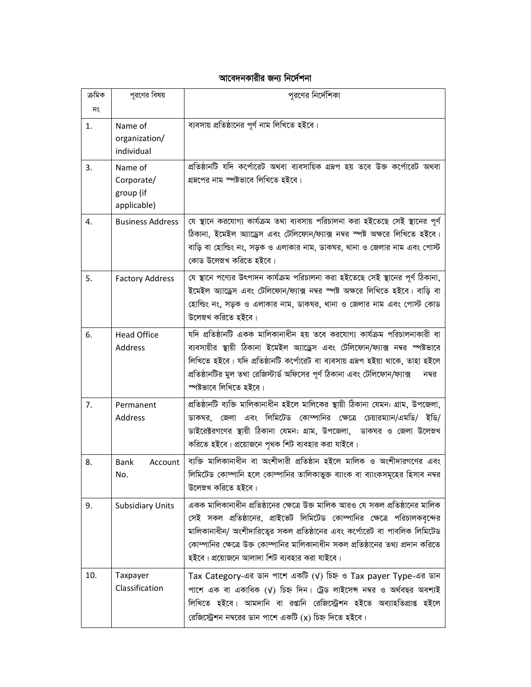# আবেদনকারীর জন্য নির্দেশনা

| ক্ৰমিক | পূরণের বিষয়                                      | পূরণের নির্দেশিকা                                                                                                                                                                                                                                                                                                                                                            |
|--------|---------------------------------------------------|------------------------------------------------------------------------------------------------------------------------------------------------------------------------------------------------------------------------------------------------------------------------------------------------------------------------------------------------------------------------------|
| নং     |                                                   |                                                                                                                                                                                                                                                                                                                                                                              |
| 1.     | Name of<br>organization/<br>individual            | ব্যবসায় প্রতিষ্ঠানের পূর্ণ নাম লিখিতে হইবে।                                                                                                                                                                                                                                                                                                                                 |
| 3.     | Name of<br>Corporate/<br>group (if<br>applicable) | প্রতিষ্ঠানটি যদি কর্পোরেট অথবা ব্যবসায়িক গ্রন্নপ হয় তবে উক্ত কর্পোরেট অথবা<br>গ্রম্বপের নাম স্পষ্টভাবে লিখিতে হইবে।                                                                                                                                                                                                                                                        |
| 4.     | <b>Business Address</b>                           | যে স্থানে করযোগ্য কার্যক্রম তথা ব্যবসায় পরিচালনা করা হইতেছে সেই স্থানের পূর্ণ<br>ঠিকানা, ইমেইল অ্যাড্রেস এবং টেলিফোন/ফ্যাক্স নম্বর স্পষ্ট অক্ষরে লিখিতে হইবে।<br>বাড়ি বা হোল্ডিং নং, সড়ক ও এলাকার নাম, ডাকঘর, থানা ও জেলার নাম এবং পোস্ট<br>কোড উলেম্নখ করিতে হইবে।                                                                                                       |
| 5.     | <b>Factory Address</b>                            | যে স্থানে পণ্যের উৎপাদন কার্যক্রম পরিচালনা করা হইতেছে সেই স্থানের পূর্ণ ঠিকানা,<br>ইমেইল অ্যাড্রেস এবং টেলিফোন/ফ্যাক্স নম্বর স্পষ্ট অক্ষরে লিখিতে হইবে। বাড়ি বা<br>হোল্ডিং নং, সড়ক ও এলাকার নাম, ডাকঘর, থানা ও জেলার নাম এবং পোস্ট কোড<br>উলেম্নখ করিতে হইবে।                                                                                                              |
| 6.     | <b>Head Office</b><br>Address                     | যদি প্রতিষ্ঠানটি একক মালিকানাধীন হয় তবে করযোগ্য কার্যক্রম পরিচালনাকারী বা<br>ব্যবসায়ীর স্থায়ী ঠিকানা ইমেইল অ্যাড্রেস এবং টেলিফোন/ফ্যাক্স নম্বর স্পষ্টভাবে<br>লিখিতে হইবে। যদি প্রতিষ্ঠানটি কর্পোরেট বা ব্যবসায় গ্রন্নপ হইয়া থাকে, তাহা হইলে<br>প্রতিষ্ঠানটির মুল তথা রেজিস্টার্ড অফিসের পূর্ণ ঠিকানা এবং টেলিফোন/ফ্যাক্স<br>নম্বর<br>স্পষ্টভাবে লিখিতে হইবে।            |
| 7.     | Permanent<br>Address                              | প্রতিষ্ঠানটি ব্যক্তি মালিকানাধীন হইলে মালিকের স্থায়ী ঠিকানা যেমন: গ্রাম, উপজেলা,<br>ডাকঘর, জেলা এবং লিমিটেড কোম্পানির ক্ষেত্রে চেয়ারম্যান/এমডি/ ইডি/<br>ডাইরেক্টরগণের স্থায়ী ঠিকানা যেমন: গ্রাম, উপজেলা, ভাকঘর ও জেলা উলেস্নখ<br>করিতে হইবে। প্রয়োজনে পৃথক শিট ব্যবহার করা যাইবে।                                                                                        |
| 8.     | Bank<br>Account<br>No.                            | ব্যক্তি মালিকানাধীন বা অংশীদারী প্রতিষ্ঠান হইলে মালিক ও অংশীদারগণের এবং<br>লিমিটেড কোম্পানি হলে কোম্পানির তালিকাভুক্ত ব্যাংক বা ব্যাংকসমূহের হিসাব নম্বর<br>উলেম্বখ করিতে হইবে।                                                                                                                                                                                              |
| 9.     | <b>Subsidiary Units</b>                           | একক মালিকানাধীন প্রতিষ্ঠানের ক্ষেত্রে উক্ত মালিক আরও যে সকল প্রতিষ্ঠানের মালিক<br>সেই সকল প্রতিষ্ঠানের, প্রাইভেট লিমিটেড কোম্পানির ক্ষেত্রে পরিচালকবৃন্দের<br>মালিকানাধীন/ অংশীদারিত্বের সকল প্রতিষ্ঠানের এবং কর্পোরেট বা পাবলিক লিমিটেড<br>কোম্পানির ক্ষেত্রে উক্ত কোম্পানির মালিকানাধীন সকল প্রতিষ্ঠানের তথ্য প্রদান করিতে<br>হইবে। প্রয়োজনে আলাদা শিট ব্যবহার করা যাইবে। |
| 10.    | Taxpayer<br>Classification                        | Tax Category-এর ডান পাশে একটি (√) চিহ্ন ও Tax payer Type-এর ডান<br>পাশে এক বা একাধিক (√) চিহ্ন দিন। ট্রেড লাইসেন্স নম্বর ও অর্থবছর অবশ্যই<br>লিখিতে হইবে। আমদানি বা রপ্তানি রেজিস্ট্রেশন হইতে অব্যাহতিপ্রাপ্ত হইলে<br>রেজিস্ট্রেশন নম্বরের ডান পাশে একটি (x) চিহ্ন দিতে হইবে।                                                                                                |